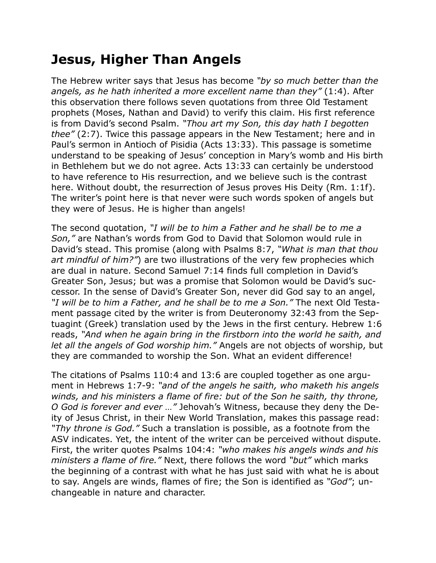## **Jesus, Higher Than Angels**

The Hebrew writer says that Jesus has become *"by so much better than the angels, as he hath inherited a more excellent name than they"* (1:4). After this observation there follows seven quotations from three Old Testament prophets (Moses, Nathan and David) to verify this claim. His first reference is from David's second Psalm. *"Thou art my Son, this day hath I begotten thee"* (2:7). Twice this passage appears in the New Testament; here and in Paul's sermon in Antioch of Pisidia (Acts 13:33). This passage is sometime understand to be speaking of Jesus' conception in Mary's womb and His birth in Bethlehem but we do not agree. Acts 13:33 can certainly be understood to have reference to His resurrection, and we believe such is the contrast here. Without doubt, the resurrection of Jesus proves His Deity (Rm. 1:1f). The writer's point here is that never were such words spoken of angels but they were of Jesus. He is higher than angels!

The second quotation, *"I will be to him a Father and he shall be to me a Son,"* are Nathan's words from God to David that Solomon would rule in David's stead. This promise (along with Psalms 8:7, *"What is man that thou art mindful of him?"*) are two illustrations of the very few prophecies which are dual in nature. Second Samuel 7:14 finds full completion in David's Greater Son, Jesus; but was a promise that Solomon would be David's successor. In the sense of David's Greater Son, never did God say to an angel, *"I will be to him a Father, and he shall be to me a Son."* The next Old Testament passage cited by the writer is from Deuteronomy 32:43 from the Septuagint (Greek) translation used by the Jews in the first century. Hebrew 1:6 reads, *"And when he again bring in the firstborn into the world he saith, and let all the angels of God worship him."* Angels are not objects of worship, but they are commanded to worship the Son. What an evident difference!

The citations of Psalms 110:4 and 13:6 are coupled together as one argument in Hebrews 1:7-9: *"and of the angels he saith, who maketh his angels winds, and his ministers a flame of fire: but of the Son he saith, thy throne, O God is forever and ever …"* Jehovah's Witness, because they deny the Deity of Jesus Christ, in their New World Translation, makes this passage read: *"Thy throne is God."* Such a translation is possible, as a footnote from the ASV indicates. Yet, the intent of the writer can be perceived without dispute. First, the writer quotes Psalms 104:4: *"who makes his angels winds and his ministers a flame of fire."* Next, there follows the word *"but"* which marks the beginning of a contrast with what he has just said with what he is about to say. Angels are winds, flames of fire; the Son is identified as *"God"*; unchangeable in nature and character.